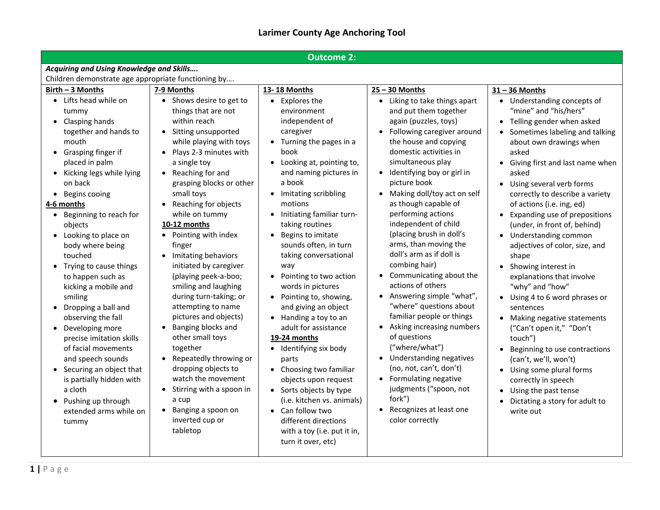## **Larimer County Age Anchoring Tool**

| <b>Outcome 2:</b>                                                                                                                                                                                                                                                                                                                                                                                                                                                                                                                                                                                                                                                                                                                                                                                                                                                                                                                                                                                                                                           |                                                                                                                                                                                                                                                                                                                                                                                                                                                                                                                      |                                                                                                                                                                                                                                                                                                                                                                                                                                                                                                                                                                                                                                                                |                                                                                                                                                                                                                                                                                                                                                                                                                                                                                                                                                                                                                                                                  |  |  |  |
|-------------------------------------------------------------------------------------------------------------------------------------------------------------------------------------------------------------------------------------------------------------------------------------------------------------------------------------------------------------------------------------------------------------------------------------------------------------------------------------------------------------------------------------------------------------------------------------------------------------------------------------------------------------------------------------------------------------------------------------------------------------------------------------------------------------------------------------------------------------------------------------------------------------------------------------------------------------------------------------------------------------------------------------------------------------|----------------------------------------------------------------------------------------------------------------------------------------------------------------------------------------------------------------------------------------------------------------------------------------------------------------------------------------------------------------------------------------------------------------------------------------------------------------------------------------------------------------------|----------------------------------------------------------------------------------------------------------------------------------------------------------------------------------------------------------------------------------------------------------------------------------------------------------------------------------------------------------------------------------------------------------------------------------------------------------------------------------------------------------------------------------------------------------------------------------------------------------------------------------------------------------------|------------------------------------------------------------------------------------------------------------------------------------------------------------------------------------------------------------------------------------------------------------------------------------------------------------------------------------------------------------------------------------------------------------------------------------------------------------------------------------------------------------------------------------------------------------------------------------------------------------------------------------------------------------------|--|--|--|
| Acquiring and Using Knowledge and Skills                                                                                                                                                                                                                                                                                                                                                                                                                                                                                                                                                                                                                                                                                                                                                                                                                                                                                                                                                                                                                    |                                                                                                                                                                                                                                                                                                                                                                                                                                                                                                                      |                                                                                                                                                                                                                                                                                                                                                                                                                                                                                                                                                                                                                                                                |                                                                                                                                                                                                                                                                                                                                                                                                                                                                                                                                                                                                                                                                  |  |  |  |
| Children demonstrate age appropriate functioning by                                                                                                                                                                                                                                                                                                                                                                                                                                                                                                                                                                                                                                                                                                                                                                                                                                                                                                                                                                                                         |                                                                                                                                                                                                                                                                                                                                                                                                                                                                                                                      |                                                                                                                                                                                                                                                                                                                                                                                                                                                                                                                                                                                                                                                                |                                                                                                                                                                                                                                                                                                                                                                                                                                                                                                                                                                                                                                                                  |  |  |  |
| Birth - 3 Months<br>7-9 Months<br>• Lifts head while on<br>• Shows desire to get to<br>things that are not<br>tummy<br>within reach<br>Clasping hands<br>together and hands to<br>Sitting unsupported<br>mouth<br>while playing with toys<br>Grasping finger if<br>Plays 2-3 minutes with<br>placed in palm<br>a single toy<br>Kicking legs while lying<br>Reaching for and<br>grasping blocks or other<br>on back<br>small toys<br>Begins cooing<br>Reaching for objects<br>4-6 months<br>• Beginning to reach for<br>while on tummy<br>10-12 months<br>objects<br>Pointing with index<br>• Looking to place on<br>body where being<br>finger<br>Imitating behaviors<br>touched<br>initiated by caregiver<br>Trying to cause things<br>to happen such as<br>(playing peek-a-boo;<br>smiling and laughing<br>kicking a mobile and<br>during turn-taking; or<br>smiling<br>attempting to name<br>Dropping a ball and<br>pictures and objects)<br>observing the fall<br>Banging blocks and<br>Developing more<br>other small toys<br>precise imitation skills | 13-18 Months<br>• Explores the<br>environment<br>independent of<br>caregiver<br>Turning the pages in a<br>book<br>Looking at, pointing to,<br>and naming pictures in<br>a book<br>• Imitating scribbling<br>motions<br>Initiating familiar turn-<br>taking routines<br>Begins to imitate<br>sounds often, in turn<br>taking conversational<br>way<br>Pointing to two action<br>words in pictures<br>• Pointing to, showing,<br>and giving an object<br>• Handing a toy to an<br>adult for assistance<br>19-24 months | $25 - 30$ Months<br>• Liking to take things apart<br>and put them together<br>again (puzzles, toys)<br>Following caregiver around<br>the house and copying<br>domestic activities in<br>simultaneous play<br>Identifying boy or girl in<br>picture book<br>Making doll/toy act on self<br>as though capable of<br>performing actions<br>independent of child<br>(placing brush in doll's<br>arms, than moving the<br>doll's arm as if doll is<br>combing hair)<br>Communicating about the<br>$\bullet$<br>actions of others<br>• Answering simple "what",<br>"where" questions about<br>familiar people or things<br>Asking increasing numbers<br>of questions | $31 - 36$ Months<br>• Understanding concepts of<br>"mine" and "his/hers"<br>• Telling gender when asked<br>Sometimes labeling and talking<br>about own drawings when<br>asked<br>• Giving first and last name when<br>asked<br>• Using several verb forms<br>correctly to describe a variety<br>of actions (i.e. ing, ed)<br>• Expanding use of prepositions<br>(under, in front of, behind)<br>• Understanding common<br>adjectives of color, size, and<br>shape<br>• Showing interest in<br>explanations that involve<br>"why" and "how"<br>• Using 4 to 6 word phrases or<br>sentences<br>• Making negative statements<br>("Can't open it," "Don't<br>touch") |  |  |  |
| together<br>of facial movements<br>Repeatedly throwing or<br>and speech sounds<br>dropping objects to<br>Securing an object that<br>watch the movement<br>is partially hidden with<br>Stirring with a spoon in<br>a cloth<br>a cup<br>Pushing up through<br>Banging a spoon on<br>extended arms while on<br>inverted cup or<br>tummy<br>tabletop                                                                                                                                                                                                                                                                                                                                                                                                                                                                                                                                                                                                                                                                                                            | Identifying six body<br>$\bullet$<br>parts<br>Choosing two familiar<br>objects upon request<br>• Sorts objects by type<br>(i.e. kitchen vs. animals)<br>• Can follow two<br>different directions<br>with a toy (i.e. put it in,<br>turn it over, etc)                                                                                                                                                                                                                                                                | ("where/what")<br>Understanding negatives<br>(no, not, can't, don't)<br>Formulating negative<br>judgments ("spoon, not<br>fork")<br>Recognizes at least one<br>color correctly                                                                                                                                                                                                                                                                                                                                                                                                                                                                                 | Beginning to use contractions<br>$\bullet$<br>(can't, we'll, won't)<br>• Using some plural forms<br>correctly in speech<br>Using the past tense<br>Dictating a story for adult to<br>write out                                                                                                                                                                                                                                                                                                                                                                                                                                                                   |  |  |  |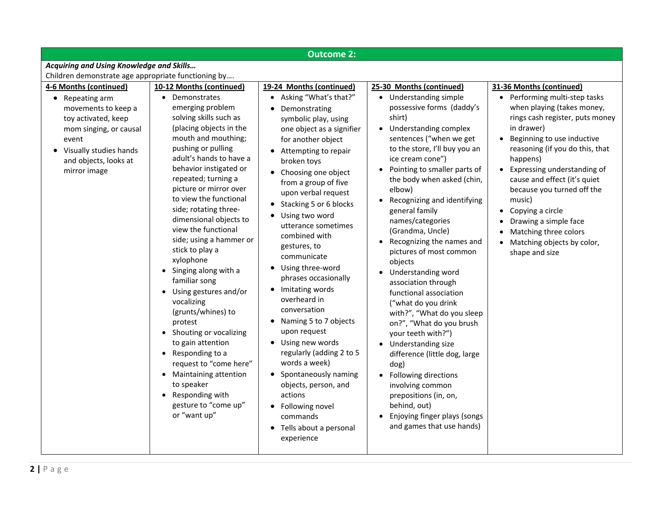| <b>Outcome 2:</b>                                                                                                                                                                               |                                                                                                                                                                                                                                                                                                                                                                                                                                                                                                                                                                   |                                                                                                                                                                                                                                                                                                                                                                                                                                                                                                                       |                                                                                                                                                                                                                                                                                                                                                                                                                                                                                                                                                                                     |                                                                                                                                                                                                                                                                                                                                                                                                                                                                              |  |  |  |
|-------------------------------------------------------------------------------------------------------------------------------------------------------------------------------------------------|-------------------------------------------------------------------------------------------------------------------------------------------------------------------------------------------------------------------------------------------------------------------------------------------------------------------------------------------------------------------------------------------------------------------------------------------------------------------------------------------------------------------------------------------------------------------|-----------------------------------------------------------------------------------------------------------------------------------------------------------------------------------------------------------------------------------------------------------------------------------------------------------------------------------------------------------------------------------------------------------------------------------------------------------------------------------------------------------------------|-------------------------------------------------------------------------------------------------------------------------------------------------------------------------------------------------------------------------------------------------------------------------------------------------------------------------------------------------------------------------------------------------------------------------------------------------------------------------------------------------------------------------------------------------------------------------------------|------------------------------------------------------------------------------------------------------------------------------------------------------------------------------------------------------------------------------------------------------------------------------------------------------------------------------------------------------------------------------------------------------------------------------------------------------------------------------|--|--|--|
| Acquiring and Using Knowledge and Skills                                                                                                                                                        |                                                                                                                                                                                                                                                                                                                                                                                                                                                                                                                                                                   |                                                                                                                                                                                                                                                                                                                                                                                                                                                                                                                       |                                                                                                                                                                                                                                                                                                                                                                                                                                                                                                                                                                                     |                                                                                                                                                                                                                                                                                                                                                                                                                                                                              |  |  |  |
| Children demonstrate age appropriate functioning by                                                                                                                                             |                                                                                                                                                                                                                                                                                                                                                                                                                                                                                                                                                                   |                                                                                                                                                                                                                                                                                                                                                                                                                                                                                                                       |                                                                                                                                                                                                                                                                                                                                                                                                                                                                                                                                                                                     |                                                                                                                                                                                                                                                                                                                                                                                                                                                                              |  |  |  |
| 4-6 Months (continued)<br>• Repeating arm<br>movements to keep a<br>toy activated, keep<br>mom singing, or causal<br>event<br>• Visually studies hands<br>and objects, looks at<br>mirror image | 10-12 Months (continued)<br>Demonstrates<br>$\bullet$<br>emerging problem<br>solving skills such as<br>(placing objects in the<br>mouth and mouthing;<br>pushing or pulling<br>adult's hands to have a<br>behavior instigated or<br>repeated; turning a<br>picture or mirror over<br>to view the functional<br>side; rotating three-<br>dimensional objects to<br>view the functional<br>side; using a hammer or<br>stick to play a<br>xylophone<br>Singing along with a<br>familiar song<br>Using gestures and/or<br>vocalizing<br>(grunts/whines) to<br>protest | 19-24 Months (continued)<br>• Asking "What's that?"<br>Demonstrating<br>symbolic play, using<br>one object as a signifier<br>for another object<br>• Attempting to repair<br>broken toys<br>• Choosing one object<br>from a group of five<br>upon verbal request<br>• Stacking 5 or 6 blocks<br>• Using two word<br>utterance sometimes<br>combined with<br>gestures, to<br>communicate<br>• Using three-word<br>phrases occasionally<br>• Imitating words<br>overheard in<br>conversation<br>• Naming 5 to 7 objects | 25-30 Months (continued)<br>• Understanding simple<br>possessive forms (daddy's<br>shirt)<br>• Understanding complex<br>sentences ("when we get<br>to the store, I'll buy you an<br>ice cream cone")<br>• Pointing to smaller parts of<br>the body when asked (chin,<br>elbow)<br>Recognizing and identifying<br>general family<br>names/categories<br>(Grandma, Uncle)<br>Recognizing the names and<br>$\bullet$<br>pictures of most common<br>objects<br>Understanding word<br>association through<br>functional association<br>("what do you drink<br>with?", "What do you sleep | 31-36 Months (continued)<br>• Performing multi-step tasks<br>when playing (takes money,<br>rings cash register, puts money<br>in drawer)<br>Beginning to use inductive<br>$\bullet$<br>reasoning (if you do this, that<br>happens)<br>Expressing understanding of<br>$\bullet$<br>cause and effect (it's quiet<br>because you turned off the<br>music)<br>Copying a circle<br>Drawing a simple face<br>Matching three colors<br>Matching objects by color,<br>shape and size |  |  |  |
|                                                                                                                                                                                                 | Shouting or vocalizing<br>to gain attention<br>Responding to a<br>$\bullet$<br>request to "come here"<br><b>Maintaining attention</b><br>to speaker<br>Responding with<br>gesture to "come up"<br>or "want up"                                                                                                                                                                                                                                                                                                                                                    | upon request<br>• Using new words<br>regularly (adding 2 to 5<br>words a week)<br>• Spontaneously naming<br>objects, person, and<br>actions<br>• Following novel<br>commands<br>• Tells about a personal<br>experience                                                                                                                                                                                                                                                                                                | on?", "What do you brush<br>your teeth with?")<br>Understanding size<br>difference (little dog, large<br>dog)<br>Following directions<br>involving common<br>prepositions (in, on,<br>behind, out)<br>Enjoying finger plays (songs<br>and games that use hands)                                                                                                                                                                                                                                                                                                                     |                                                                                                                                                                                                                                                                                                                                                                                                                                                                              |  |  |  |